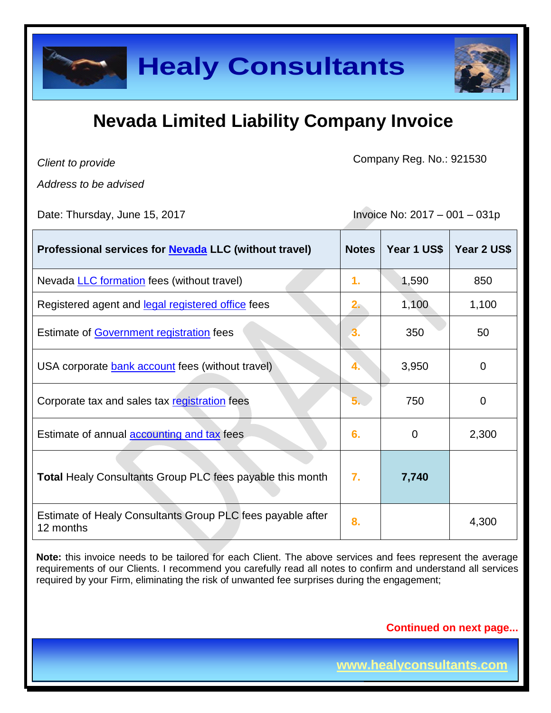

| <b>Healy Consultants</b>                                                                                                                                                                                                                                                                                                   |                                 |             |                |
|----------------------------------------------------------------------------------------------------------------------------------------------------------------------------------------------------------------------------------------------------------------------------------------------------------------------------|---------------------------------|-------------|----------------|
| <b>Nevada Limited Liability Company Invoice</b>                                                                                                                                                                                                                                                                            |                                 |             |                |
| Client to provide                                                                                                                                                                                                                                                                                                          | Company Reg. No.: 921530        |             |                |
| Address to be advised<br>Date: Thursday, June 15, 2017                                                                                                                                                                                                                                                                     | Invoice No: $2017 - 001 - 031p$ |             |                |
| Professional services for <b>Nevada</b> LLC (without travel)                                                                                                                                                                                                                                                               | <b>Notes</b>                    | Year 1 US\$ | Year 2 US\$    |
| Nevada LLC formation fees (without travel)                                                                                                                                                                                                                                                                                 | 1.                              | 1,590       | 850            |
| Registered agent and legal registered office fees                                                                                                                                                                                                                                                                          | $2 -$                           | 1,100       | 1,100          |
| Estimate of Government registration fees                                                                                                                                                                                                                                                                                   |                                 | 350         | 50             |
| USA corporate bank account fees (without travel)                                                                                                                                                                                                                                                                           |                                 | 3,950       | $\mathbf 0$    |
| Corporate tax and sales tax registration fees                                                                                                                                                                                                                                                                              |                                 | 750         | $\overline{0}$ |
| Estimate of annual <b>accounting and tax</b> fees                                                                                                                                                                                                                                                                          | 6.                              | 0           | 2,300          |
| <b>Total Healy Consultants Group PLC fees payable this month</b>                                                                                                                                                                                                                                                           | 7.                              | 7,740       |                |
| Estimate of Healy Consultants Group PLC fees payable after<br>12 months                                                                                                                                                                                                                                                    | 8.                              |             | 4,300          |
| Note: this invoice needs to be tailored for each Client. The above services and fees represent the average<br>requirements of our Clients. I recommend you carefully read all notes to confirm and understand all services<br>required by your Firm, eliminating the risk of unwanted fee surprises during the engagement; |                                 |             |                |
| <b>Continued on next page</b>                                                                                                                                                                                                                                                                                              |                                 |             |                |
| www.healyconsultants.com                                                                                                                                                                                                                                                                                                   |                                 |             |                |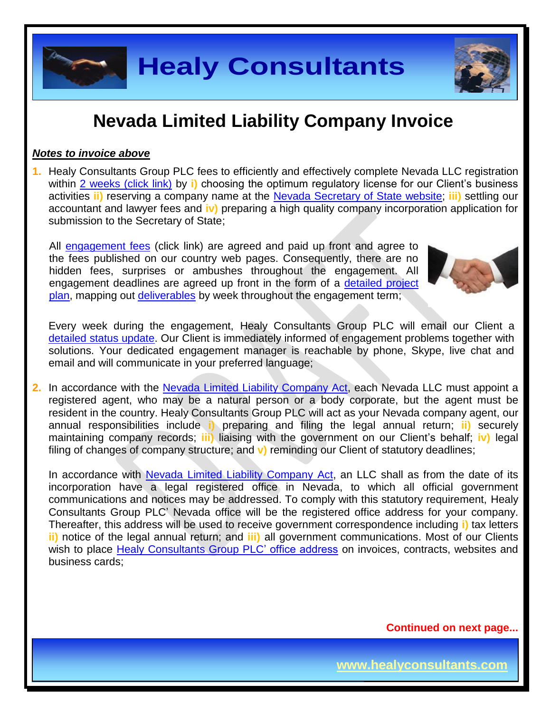

#### *Notes to invoice above*

**1.** Healy Consultants Group PLC fees to efficiently and effectively complete Nevada LLC registration within 2 [weeks \(click link\)](http://www.healyconsultants.com/nevada-company-registration/fees-timelines/#timelines) by **i)** choosing the optimum regulatory license for our Client's business activities **ii)** reserving a company name at the [Nevada Secretary of State](https://nvsos.gov/index.aspx?page=428) website; **iii)** settling our accountant and lawyer fees and **iv)** preparing a high quality company incorporation application for submission to the Secretary of State;

All [engagement fees](http://www.healyconsultants.com/company-registration-fees/) (click link) are agreed and paid up front and agree to the fees published on our country web pages. Consequently, there are no hidden fees, surprises or ambushes throughout the engagement. All engagement deadlines are agreed up front in the form of a [detailed project](http://www.healyconsultants.com/index-important-links/example-project-plan/)  [plan,](http://www.healyconsultants.com/index-important-links/example-project-plan/) mapping out [deliverables](http://www.healyconsultants.com/deliverables-to-our-clients/) by week throughout the engagement term;



**Page 2 of 8**

Every week during the engagement, Healy Consultants Group PLC will email our Client a [detailed status update.](http://www.healyconsultants.com/index-important-links/weekly-engagement-status-email/) Our Client is immediately informed of engagement problems together with solutions. Your dedicated engagement manager is reachable by phone, Skype, live chat and email and will communicate in your preferred language;

**2.** In accordance with the Nevada [Limited Liability Company Act,](http://www.leg.state.nv.us/NRS/NRS-086.html) each Nevada LLC must appoint a registered agent, who may be a natural person or a body corporate, but the agent must be resident in the country. Healy Consultants Group PLC will act as your Nevada company agent, our annual responsibilities include **i)** preparing and filing the legal annual return; **ii)** securely maintaining company records; **iii)** liaising with the government on our Client's behalf; **iv)** legal filing of changes of company structure; and **v)** reminding our Client of statutory deadlines;

**Healy Consultants**<br> **Example 18 Compary the Compary of the Compary of the Compary of the Compary of the Compary of the of the Compary incorporation of the Compary incorporation of the properties of the properties of the c** In accordance with Nevada [Limited Liability Company Act,](http://www.leg.state.nv.us/NRS/NRS-086.html) an LLC shall as from the date of its incorporation have a legal registered office in Nevada, to which all official government communications and notices may be addressed. To comply with this statutory requirement, Healy Consultants Group PLC' Nevada office will be the registered office address for your company. Thereafter, this address will be used to receive government correspondence including **i)** tax letters **ii)** notice of the legal annual return; and **iii)** all government communications. Most of our Clients wish to place [Healy Consultants Group PLC' office address](http://www.healyconsultants.com/corporate-outsourcing-services/company-secretary-and-legal-registered-office/) on invoices, contracts, websites and business cards;

**Continued on next page...**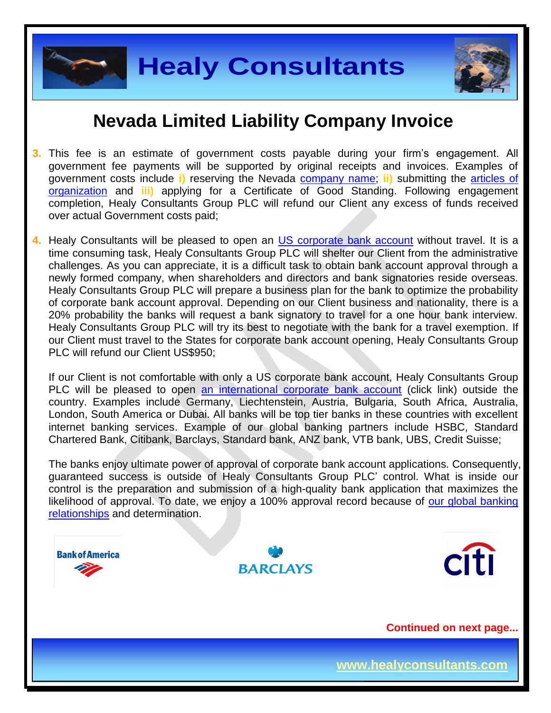



- **3.** This fee is an estimate of government costs payable during your firm's engagement. All government fee payments will be supported by original receipts and invoices. Examples of government costs include **i)** reserving the Nevada [company name;](http://nvsos.gov/Modules/ShowDocument.aspx?documentid=901) **ii)** submitting the [articles of](http://nvsos.gov/Modules/ShowDocument.aspx?documentid=1004)  [organization](http://nvsos.gov/Modules/ShowDocument.aspx?documentid=1004) and **iii)** applying for a Certificate of Good Standing. Following engagement completion, Healy Consultants Group PLC will refund our Client any excess of funds received over actual Government costs paid;
- **4.** Healy Consultants will be pleased to open an [US corporate bank account](http://www.healyconsultants.com/usa-company-registration/formation-support-services/#banking) without travel. It is a time consuming task, Healy Consultants Group PLC will shelter our Client from the administrative challenges. As you can appreciate, it is a difficult task to obtain bank account approval through a newly formed company, when shareholders and directors and bank signatories reside overseas. Healy Consultants Group PLC will prepare a business plan for the bank to optimize the probability of corporate bank account approval. Depending on our Client business and nationality, there is a 20% probability the banks will request a bank signatory to travel for a one hour bank interview. Healy Consultants Group PLC will try its best to negotiate with the bank for a travel exemption. If our Client must travel to the States for corporate bank account opening, Healy Consultants Group PLC will refund our Client US\$950;

If our Client is not comfortable with only a US corporate bank account, Healy Consultants Group PLC will be pleased to open an [international corporate bank account](http://www.healyconsultants.com/international-banking/) (click link) outside the country. Examples include Germany, Liechtenstein, Austria, Bulgaria, South Africa, Australia, London, South America or Dubai. All banks will be top tier banks in these countries with excellent internet banking services. Example of our global banking partners include HSBC, Standard Chartered Bank, Citibank, Barclays, Standard bank, ANZ bank, VTB bank, UBS, Credit Suisse;

The banks enjoy ultimate power of approval of corporate bank account applications. Consequently, guaranteed success is outside of Healy Consultants Group PLC' control. What is inside our control is the preparation and submission of a high-quality bank application that maximizes the likelihood of approval. To date, we enjoy a 100% approval record because of our global banking [relationships](http://www.healyconsultants.com/international-banking/corporate-accounts/) and determination.

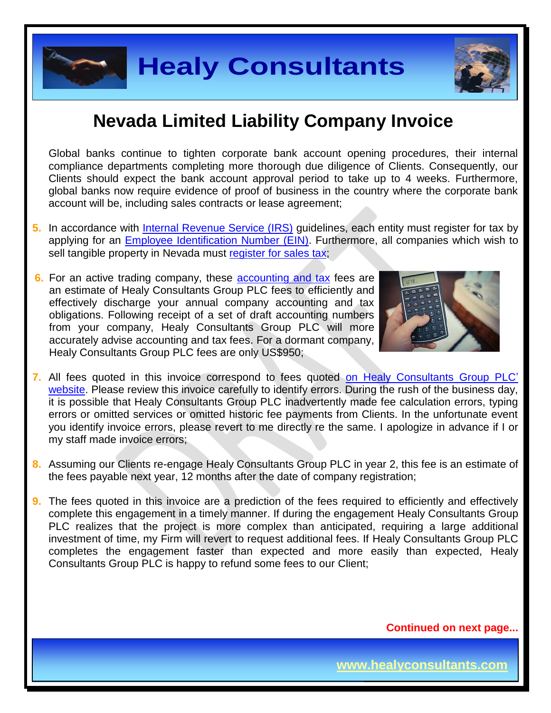

Global banks continue to tighten corporate bank account opening procedures, their internal compliance departments completing more thorough due diligence of Clients. Consequently, our Clients should expect the bank account approval period to take up to 4 weeks. Furthermore, global banks now require evidence of proof of business in the country where the corporate bank account will be, including sales contracts or lease agreement;

- **5.** In accordance with [Internal Revenue Service \(IRS\)](http://www.irs.gov/) guidelines, each entity must register for tax by applying for an [Employee Identification Number \(EIN\).](http://www.irs.gov/pub/irs-pdf/p1635.pdf) Furthermore, all companies which wish to sell tangible property in Nevada must [register for sales tax;](http://tax.nv.gov/FAQs/Sales_Tax_Information___FAQ_s/)
- **6.** For an active trading company, these [accounting and tax](http://www.healyconsultants.com/usa-company-registration/accounting-legal/) fees are an estimate of Healy Consultants Group PLC fees to efficiently and effectively discharge your annual company accounting and tax obligations. Following receipt of a set of draft accounting numbers from your company, Healy Consultants Group PLC will more accurately advise accounting and tax fees. For a dormant company, Healy Consultants Group PLC fees are only US\$950;



**Page 4 of 8**

- **7.** All fees quoted in this invoice correspond to fees quoted [on Healy Consultants Group PLC'](http://www.healyconsultants.com/company-registration-fees/)  [website.](http://www.healyconsultants.com/company-registration-fees/) Please review this invoice carefully to identify errors. During the rush of the business day, it is possible that Healy Consultants Group PLC inadvertently made fee calculation errors, typing errors or omitted services or omitted historic fee payments from Clients. In the unfortunate event you identify invoice errors, please revert to me directly re the same. I apologize in advance if I or my staff made invoice errors;
- **8.** Assuming our Clients re-engage Healy Consultants Group PLC in year 2, this fee is an estimate of the fees payable next year, 12 months after the date of company registration;
- **Healy Consultants**<br> **Consultants**<br> **Consultants**<br> **Consultants**<br> **Consultants**<br> **Consultants**<br> **Consultants**<br> **Consultants**<br> **Consultants**<br> **Consultants**<br> **Consultants**<br> **Consultants**<br> **Consultants**<br> **Consultants**<br> **Consu 9.** The fees quoted in this invoice are a prediction of the fees required to efficiently and effectively complete this engagement in a timely manner. If during the engagement Healy Consultants Group PLC realizes that the project is more complex than anticipated, requiring a large additional investment of time, my Firm will revert to request additional fees. If Healy Consultants Group PLC completes the engagement faster than expected and more easily than expected, Healy Consultants Group PLC is happy to refund some fees to our Client;

**Continued on next page...**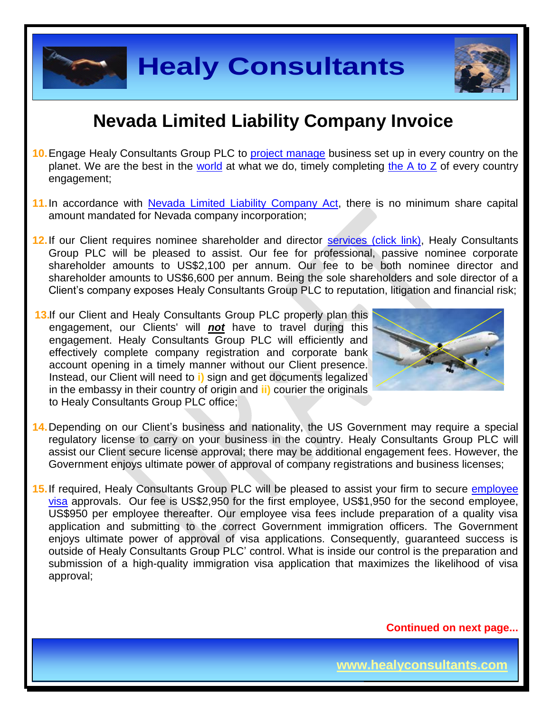

- **10.**Engage Healy Consultants Group PLC to [project manage](http://www.healyconsultants.com/project-manage-engagements/) business set up in every country on the planet. We are the best in the [world](http://www.healyconsultants.com/best-in-the-world/) at what we do, timely completing [the A to Z](http://www.healyconsultants.com/a-to-z-of-business-set-up/) of every country engagement;
- 11. In accordance with Nevada [Limited Liability Company Act,](http://www.leg.state.nv.us/NRS/NRS-086.html) there is no minimum share capital amount mandated for Nevada company incorporation;
- **12.**If our Client requires nominee shareholder and director services [\(click link\),](http://www.healyconsultants.com/corporate-outsourcing-services/nominee-shareholders-directors/) Healy Consultants Group PLC will be pleased to assist. Our fee for professional, passive nominee corporate shareholder amounts to US\$2,100 per annum. Our fee to be both nominee director and shareholder amounts to US\$6,600 per annum. Being the sole shareholders and sole director of a Client's company exposes Healy Consultants Group PLC to reputation, litigation and financial risk;
- **13.** If our Client and Healy Consultants Group PLC properly plan this engagement, our Clients' will *not* have to travel during this engagement. Healy Consultants Group PLC will efficiently and effectively complete company registration and corporate bank account opening in a timely manner without our Client presence. Instead, our Client will need to **i)** sign and get documents legalized in the embassy in their country of origin and **ii)** courier the originals to Healy Consultants Group PLC office;



**Page 5 of 8**

- **14.**Depending on our Client's business and nationality, the US Government may require a special regulatory license to carry on your business in the country. Healy Consultants Group PLC will assist our Client secure license approval; there may be additional engagement fees. However, the Government enjoys ultimate power of approval of company registrations and business licenses;
- **Healy Consultants**<br> **Consultants**<br> **Consultants**<br> **Consultants** and **Consultant Consultant Consultant** and the system of the system of the system of the system of the system of the system of the system of the system of th **15.**If required, Healy Consultants Group PLC will be pleased to assist your firm to secure [employee](http://www.healyconsultants.com/usa-company-registration/formation-support-services/)  [visa](http://www.healyconsultants.com/usa-company-registration/formation-support-services/) approvals. Our fee is US\$2,950 for the first employee, US\$1,950 for the second employee, US\$950 per employee thereafter. Our employee visa fees include preparation of a quality visa application and submitting to the correct Government immigration officers. The Government enjoys ultimate power of approval of visa applications. Consequently, guaranteed success is outside of Healy Consultants Group PLC' control. What is inside our control is the preparation and submission of a high-quality immigration visa application that maximizes the likelihood of visa approval;

**Continued on next page...**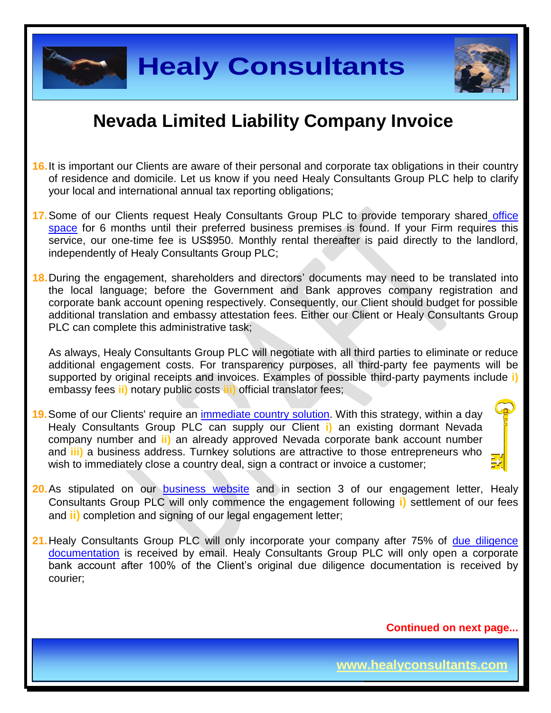

- **16.**It is important our Clients are aware of their personal and corporate tax obligations in their country of residence and domicile. Let us know if you need Healy Consultants Group PLC help to clarify your local and international annual tax reporting obligations;
- 17. Some of our Clients request Healy Consultants Group PLC to provide temporary shared office [space](http://www.healyconsultants.com/virtual-office/) for 6 months until their preferred business premises is found. If your Firm requires this service, our one-time fee is US\$950. Monthly rental thereafter is paid directly to the landlord, independently of Healy Consultants Group PLC;

**Healy Consultants**<br> **Example 18 Consultants**<br> **Example 18 Consultants**<br> **Example 18 Consultants**<br> **Example 18 Consultants** Consultants Group PLC help to care<br>
the request Healy Consultants Group PLC to provide temporary s **18.**During the engagement, shareholders and directors' documents may need to be translated into the local language; before the Government and Bank approves company registration and corporate bank account opening respectively. Consequently, our Client should budget for possible additional translation and embassy attestation fees. Either our Client or Healy Consultants Group PLC can complete this administrative task;

As always, Healy Consultants Group PLC will negotiate with all third parties to eliminate or reduce additional engagement costs. For transparency purposes, all third-party fee payments will be supported by original receipts and invoices. Examples of possible third-party payments include **i)** embassy fees **ii)** notary public costs **iii)** official translator fees;

- **19.**Some of our Clients' require an [immediate country](http://www.healyconsultants.com/turnkey-solutions/) solution. With this strategy, within a day Healy Consultants Group PLC can supply our Client **i)** an existing dormant Nevada company number and **ii)** an already approved Nevada corporate bank account number and **iii)** a business address. Turnkey solutions are attractive to those entrepreneurs who wish to immediately close a country deal, sign a contract or invoice a customer;
- 

**Page 6 of 8**

- **20.**As stipulated on our **[business website](http://www.healyconsultants.com/)** and in section 3 of our engagement letter, Healy Consultants Group PLC will only commence the engagement following **i)** settlement of our fees and **ii)** completion and signing of our legal engagement letter;
- 21. Healy Consultants Group PLC will only incorporate your company after 75% of due diligence [documentation](http://www.healyconsultants.com/due-diligence/) is received by email. Healy Consultants Group PLC will only open a corporate bank account after 100% of the Client's original due diligence documentation is received by courier;

**Continued on next page...**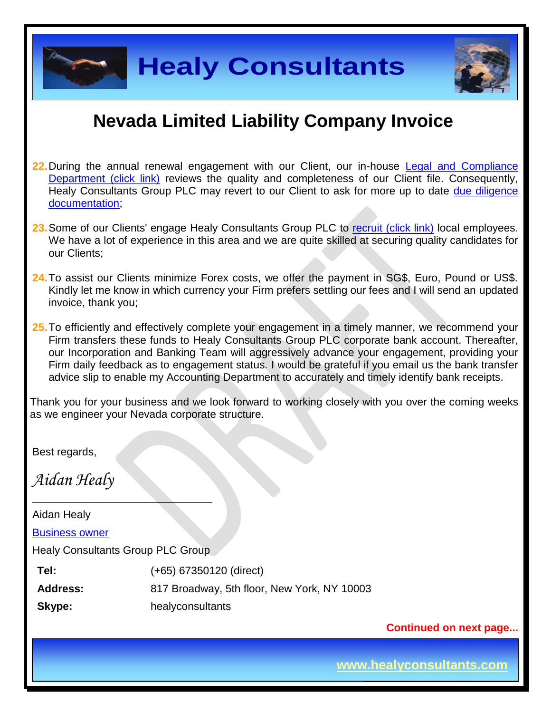

- **22.**During the annual renewal engagement with our Client, our in-house [Legal and Compliance](http://www.healyconsultants.com/about-us/key-personnel/cai-xin-profile/)  [Department \(click link\)](http://www.healyconsultants.com/about-us/key-personnel/cai-xin-profile/) reviews the quality and completeness of our Client file. Consequently, Healy Consultants Group PLC may revert to our Client to ask for more up to date due diligence [documentation;](http://www.healyconsultants.com/due-diligence/)
- 23. Some of our Clients' engage Healy Consultants Group PLC to [recruit \(click link\)](http://www.healyconsultants.com/corporate-outsourcing-services/how-we-help-our-clients-recruit-quality-employees/) local employees. We have a lot of experience in this area and we are quite skilled at securing quality candidates for our Clients;
- **24.**To assist our Clients minimize Forex costs, we offer the payment in SG\$, Euro, Pound or US\$. Kindly let me know in which currency your Firm prefers settling our fees and I will send an updated invoice, thank you;
- **25.**To efficiently and effectively complete your engagement in a timely manner, we recommend your Firm transfers these funds to Healy Consultants Group PLC corporate bank account. Thereafter, our Incorporation and Banking Team will aggressively advance your engagement, providing your Firm daily feedback as to engagement status. I would be grateful if you email us the bank transfer advice slip to enable my Accounting Department to accurately and timely identify bank receipts.

Thank you for your business and we look forward to working closely with you over the coming weeks as we engineer your Nevada corporate structure.

Best regards,

*Aidan Healy*

**Example 18 Consultants**<br> **Example 20 Consultants**<br> **Example 20 Consultants**<br> **Example 20 Consultants** (Group PLC to restrict our in-house Legal and Completen<br>
<u>Link)</u> reviews the quality and completences of our Client fil  $\_$ Aidan Healy [Business owner](http://www.healyconsultants.com/about-us/key-personnel/aidan-healy-profile/) Healy Consultants Group PLC Group **Tel:** (+65) 67350120 (direct) **Address:** 817 Broadway, 5th floor, New York, NY 10003 **Skype:** healyconsultants

**Continued on next page...**

**Page 7 of 8**